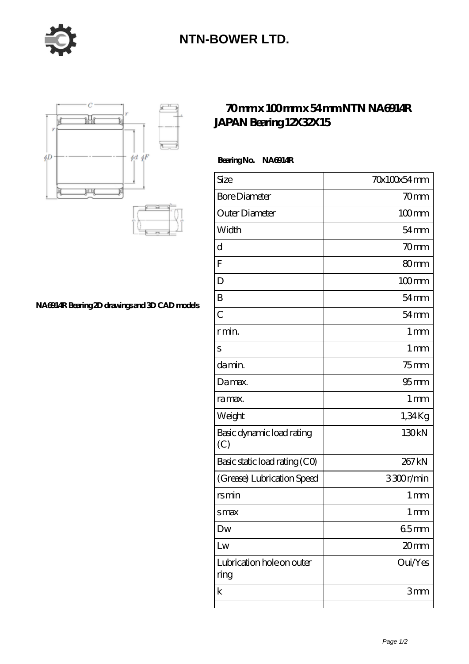

## **[NTN-BOWER LTD.](https://moreymansion.com)**



**[NA6914R Bearing 2D drawings and 3D CAD models](https://moreymansion.com/pic-306340.html)**

## **[70 mm x 100 mm x 54 mm NTN NA6914R](https://moreymansion.com/af-306340-ntn-na6914r-japan-bearing-12x32x15.html) [JAPAN Bearing 12X32X15](https://moreymansion.com/af-306340-ntn-na6914r-japan-bearing-12x32x15.html)**

 **Bearing No. NA6914R**

| Size                              | 70x100x54mm      |
|-----------------------------------|------------------|
| <b>Bore Diameter</b>              | 70mm             |
| Outer Diameter                    | $100$ mm         |
| Width                             | $54$ mm          |
| d                                 | 70 <sub>mm</sub> |
| F                                 | 80mm             |
| D                                 | $100 \text{mm}$  |
| B                                 | $54 \text{mm}$   |
| $\overline{C}$                    | $54 \text{mm}$   |
| r min.                            | 1 <sub>mm</sub>  |
| S                                 | 1 <sub>mm</sub>  |
| da min.                           | $75$ mm          |
| Damax.                            | 95 <sub>mm</sub> |
| ra max.                           | 1 <sub>mm</sub>  |
| Weight                            | 1,34Kg           |
| Basic dynamic load rating<br>(C)  | 130kN            |
| Basic static load rating (CO)     | 267 kN           |
| (Grease) Lubrication Speed        | 3300r/min        |
| rsmin                             | 1 mm             |
| smax                              | 1 <sub>mm</sub>  |
| Dw                                | 65mm             |
| Lw                                | 20mm             |
| Lubrication hole on outer<br>ring | Oui/Yes          |
| $\mathbf k$                       | 3mm              |
|                                   |                  |